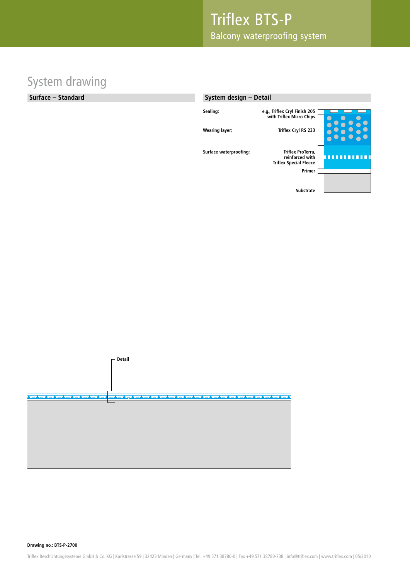### System drawing

#### **Surface – Standard**

#### **System design – Detail**





**Drawing no.: BTS-P-2700**

Triflex Beschichtungssysteme GmbH & Co. KG | Karlstrasse 59 | 32423 Minden | Germany | Tel. +49 571 38780-0 | Fax +49 571 38780-738 | info@triflex.com | www.triflex.com | 05/2010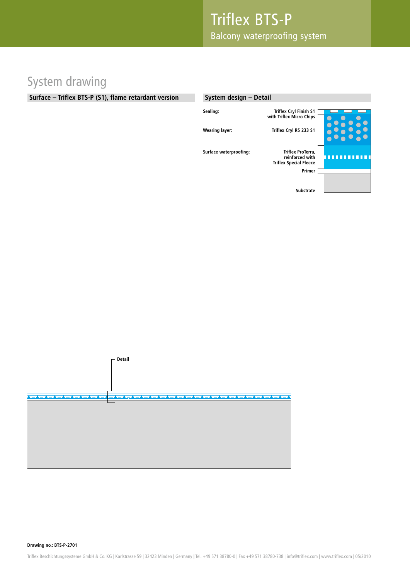# System drawing

#### **Surface – Triflex BTS-P (S1), flame retardant version**

#### **System design – Detail**

| Sealing:               | <b>Triflex Cryl Finish S1</b><br>with Triflex Micro Chips                       |  |
|------------------------|---------------------------------------------------------------------------------|--|
| <b>Wearing layer:</b>  | Triflex Cryl RS 233 S1                                                          |  |
| Surface waterproofing: | Triflex ProTerra,<br>reinforced with<br><b>Triflex Special Fleece</b><br>Primer |  |
|                        | <b>Substrate</b>                                                                |  |



**Drawing no.: BTS-P-2701**

Triflex Beschichtungssysteme GmbH & Co. KG | Karlstrasse 59 | 32423 Minden | Germany | Tel. +49 571 38780-0 | Fax +49 571 38780-738 | info@triflex.com | www.triflex.com | 05/2010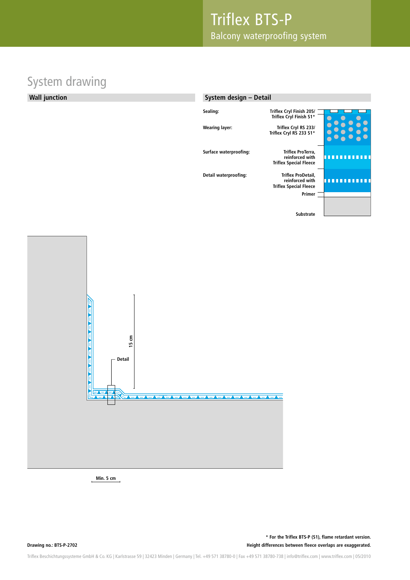# System drawing



**Min. 5 cm**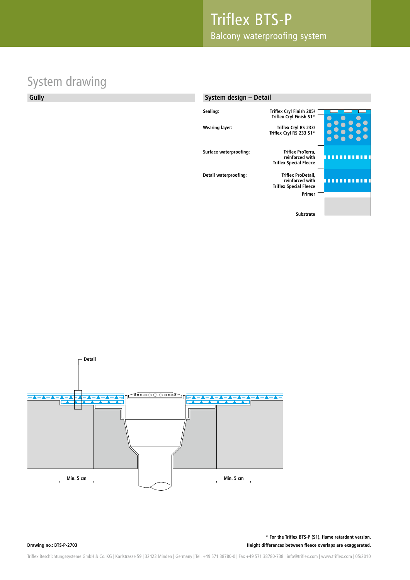# System drawing

#### **Gully**

#### **System design – Detail**

| Sealing:               | Triflex Cryl Finish 205/<br>Triflex Cryl Finish S1*                              |  |
|------------------------|----------------------------------------------------------------------------------|--|
| <b>Wearing layer:</b>  | Triflex Cryl RS 233/<br>Triflex Cryl RS 233 S1*                                  |  |
| Surface waterproofing: | Triflex ProTerra,<br>reinforced with<br><b>Triflex Special Fleece</b>            |  |
| Detail waterproofing:  | Triflex ProDetail,<br>reinforced with<br><b>Triflex Special Fleece</b><br>Primer |  |
|                        | <b>Substrate</b>                                                                 |  |



**Drawing no.: BTS-P-2703**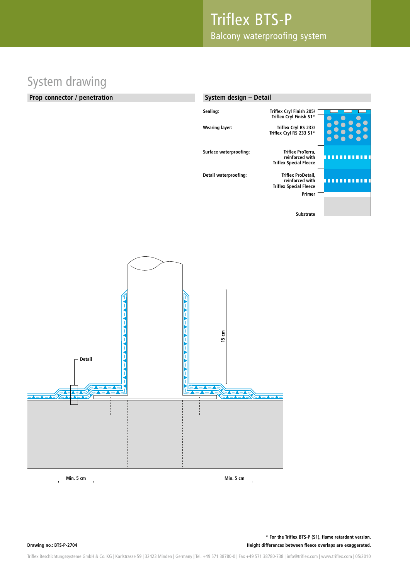# System drawing

#### **Prop connector / penetration**

| System design - Detail |                                                                                  |  |
|------------------------|----------------------------------------------------------------------------------|--|
| Sealing:               | Triflex Cryl Finish 205/<br>Triflex Cryl Finish S1*                              |  |
| <b>Wearing layer:</b>  | Triflex Cryl RS 233/<br>Triflex Cryl RS 233 S1*                                  |  |
| Surface waterproofing: | Triflex ProTerra,<br>reinforced with<br><b>Triflex Special Fleece</b>            |  |
| Detail waterproofing:  | Triflex ProDetail,<br>reinforced with<br><b>Triflex Special Fleece</b><br>Primer |  |
|                        | <b>Substrate</b>                                                                 |  |



**Drawing no.: BTS-P-2704**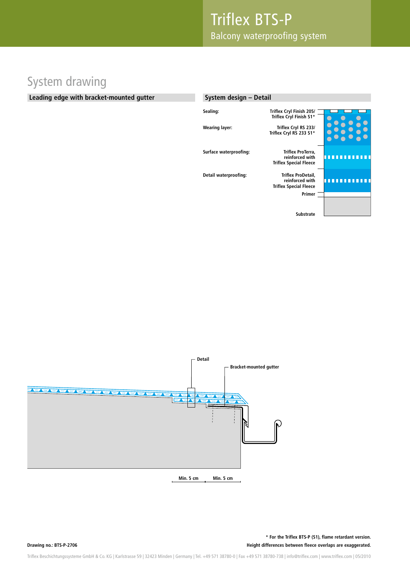#### System drawing

#### **Leading edge with bracket-mounted gutter**

#### **System design – Detail Sealing: Triflex Cryl Finish 205/ Triflex Cryl Finish S1\* Wearing layer: Triflex Cryl RS 233/ Triflex Cryl RS 233 S1\* Surface waterproofing: Triflex ProTerra, reinforced with** п **TTTTT Triflex Special Fleece Detail waterproofing: Triflex ProDetail,**  . . . . . . . . . . . **reinforced with Triflex Special Fleece Primer Substrate**

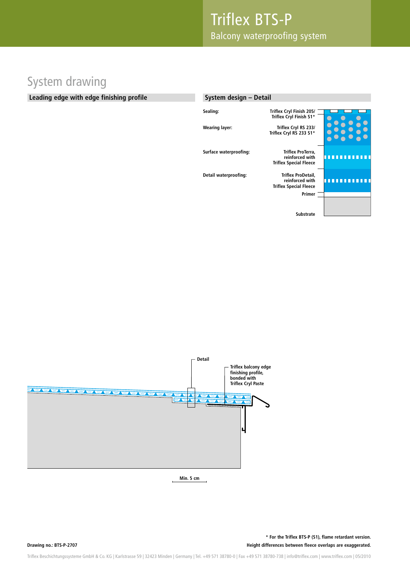### System drawing

#### **Leading edge with edge finishing profile**

| System design - Detail |                                                                        |  |
|------------------------|------------------------------------------------------------------------|--|
| Sealing:               | Triflex Cryl Finish 205/<br>Triflex Cryl Finish S1*                    |  |
| <b>Wearing layer:</b>  | Triflex Cryl RS 233/<br>Triflex Cryl RS 233 S1*                        |  |
| Surface waterproofing: | Triflex ProTerra,<br>reinforced with<br><b>Triflex Special Fleece</b>  |  |
| Detail waterproofing:  | Triflex ProDetail,<br>reinforced with<br><b>Triflex Special Fleece</b> |  |
|                        | Primer                                                                 |  |
|                        | <b>Substrate</b>                                                       |  |



**Min. 5 cm**

**Drawing no.: BTS-P-2707**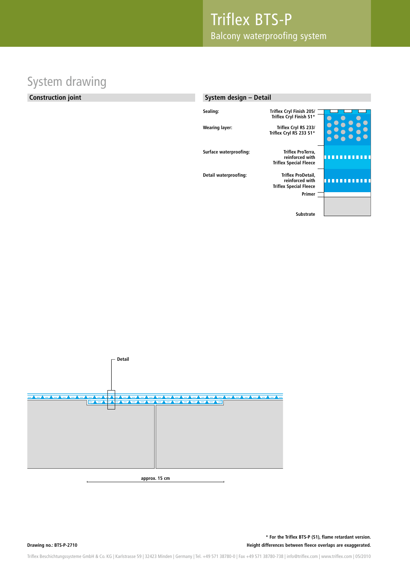### System drawing

#### **Construction joint**

#### **System design – Detail**

| Sealing:               | Triflex Cryl Finish 205/      |  |
|------------------------|-------------------------------|--|
|                        | Triflex Cryl Finish S1*       |  |
|                        |                               |  |
| <b>Wearing layer:</b>  | Triflex Cryl RS 233/          |  |
|                        | Triflex Cryl RS 233 S1*       |  |
|                        |                               |  |
|                        |                               |  |
| Surface waterproofing: | Triflex ProTerra,             |  |
|                        | reinforced with               |  |
|                        | <b>Triflex Special Fleece</b> |  |
|                        |                               |  |
| Detail waterproofing:  | Triflex ProDetail,            |  |
|                        | reinforced with               |  |
|                        | <b>Triflex Special Fleece</b> |  |
|                        | Primer                        |  |
|                        |                               |  |
|                        |                               |  |
|                        | <b>Substrate</b>              |  |
|                        |                               |  |
|                        |                               |  |



**approx. 15 cm**

**Drawing no.: BTS-P-2710**